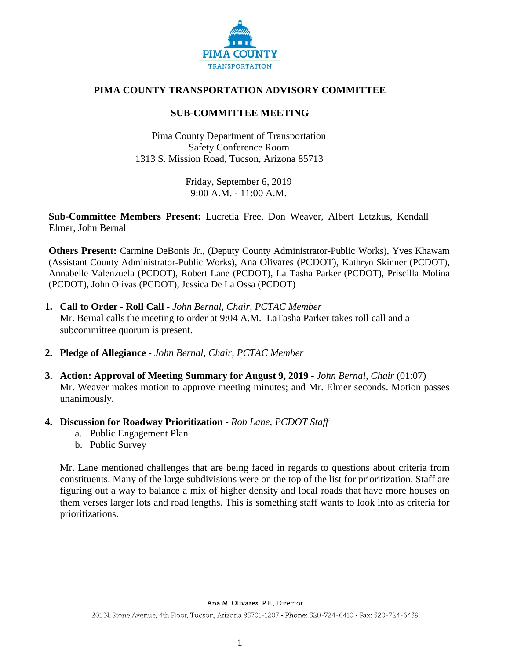

# **PIMA COUNTY TRANSPORTATION ADVISORY COMMITTEE**

## **SUB-COMMITTEE MEETING**

Pima County Department of Transportation Safety Conference Room 1313 S. Mission Road, Tucson, Arizona 85713

> Friday, September 6, 2019 9:00 A.M. **-** 11:00 A.M.

**Sub-Committee Members Present:** Lucretia Free, Don Weaver, Albert Letzkus, Kendall Elmer, John Bernal

**Others Present:** Carmine DeBonis Jr., (Deputy County Administrator-Public Works), Yves Khawam (Assistant County Administrator-Public Works), Ana Olivares (PCDOT), Kathryn Skinner (PCDOT), Annabelle Valenzuela (PCDOT), Robert Lane (PCDOT), La Tasha Parker (PCDOT), Priscilla Molina (PCDOT), John Olivas (PCDOT), Jessica De La Ossa (PCDOT)

- **1. Call to Order - Roll Call -** *John Bernal, Chair, PCTAC Member* Mr. Bernal calls the meeting to order at 9:04 A.M. LaTasha Parker takes roll call and a subcommittee quorum is present.
- **2. Pledge of Allegiance -** *John Bernal, Chair, PCTAC Member*
- **3. Action: Approval of Meeting Summary for August 9, 2019 -** *John Bernal, Chair* (01:07) Mr. Weaver makes motion to approve meeting minutes; and Mr. Elmer seconds. Motion passes unanimously.
- **4. Discussion for Roadway Prioritization -** *Rob Lane, PCDOT Staff*
	- a. Public Engagement Plan
	- b. Public Survey

Mr. Lane mentioned challenges that are being faced in regards to questions about criteria from constituents. Many of the large subdivisions were on the top of the list for prioritization. Staff are figuring out a way to balance a mix of higher density and local roads that have more houses on them verses larger lots and road lengths. This is something staff wants to look into as criteria for prioritizations.

201 N. Stone Avenue, 4th Floor, Tucson, Arizona 85701-1207 • Phone: 520-724-6410 • Fax: 520-724-6439